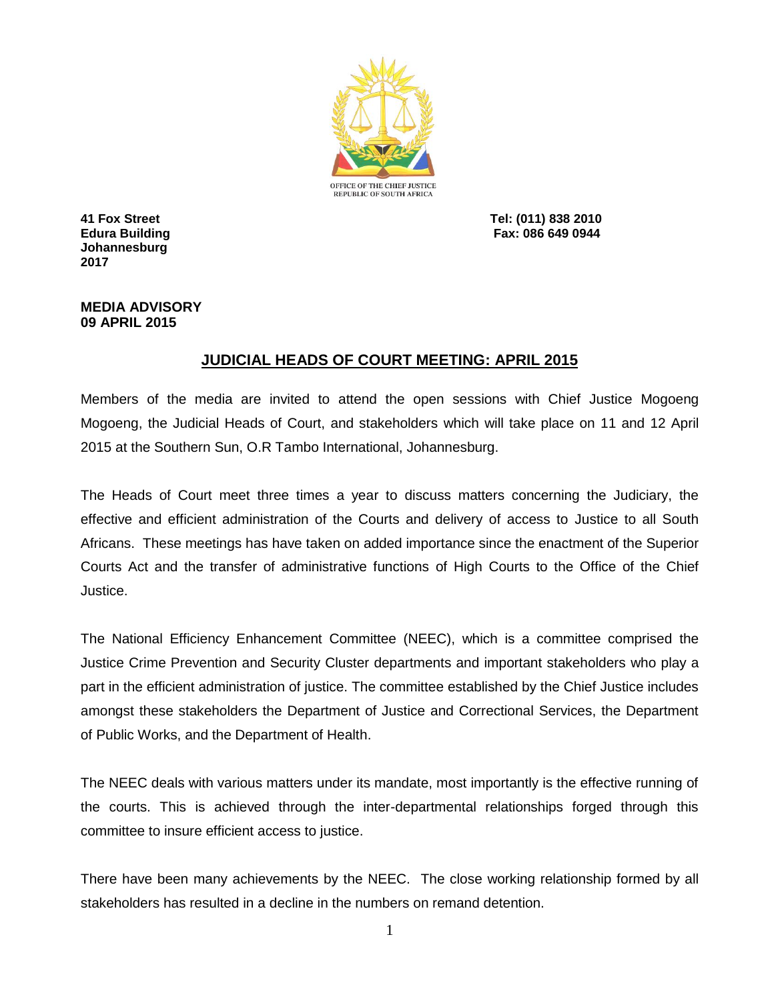

**Johannesburg 2017**

**41 Fox Street Tel: (011) 838 2010 Edura Building Fax: 086 649 0944**

## **MEDIA ADVISORY 09 APRIL 2015**

## **JUDICIAL HEADS OF COURT MEETING: APRIL 2015**

Members of the media are invited to attend the open sessions with Chief Justice Mogoeng Mogoeng, the Judicial Heads of Court, and stakeholders which will take place on 11 and 12 April 2015 at the Southern Sun, O.R Tambo International, Johannesburg.

The Heads of Court meet three times a year to discuss matters concerning the Judiciary, the effective and efficient administration of the Courts and delivery of access to Justice to all South Africans. These meetings has have taken on added importance since the enactment of the Superior Courts Act and the transfer of administrative functions of High Courts to the Office of the Chief Justice.

The National Efficiency Enhancement Committee (NEEC), which is a committee comprised the Justice Crime Prevention and Security Cluster departments and important stakeholders who play a part in the efficient administration of justice. The committee established by the Chief Justice includes amongst these stakeholders the Department of Justice and Correctional Services, the Department of Public Works, and the Department of Health.

The NEEC deals with various matters under its mandate, most importantly is the effective running of the courts. This is achieved through the inter-departmental relationships forged through this committee to insure efficient access to justice.

There have been many achievements by the NEEC. The close working relationship formed by all stakeholders has resulted in a decline in the numbers on remand detention.